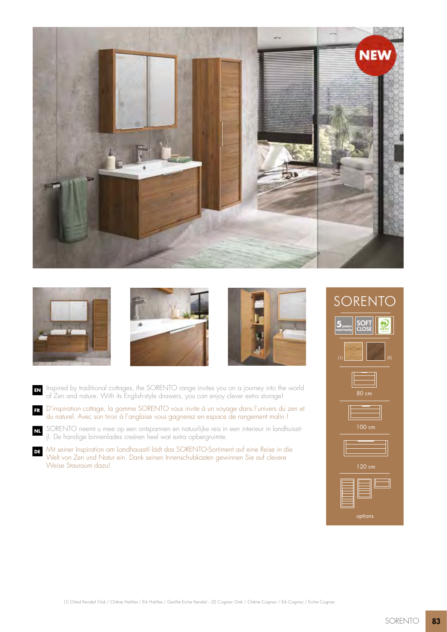



**NL**





**EN** Inspired by traditional cottages, the SORENTO range invites you on a journey into the world of Zen and nature. With its English-style drawers, you can enjoy clever extra storage!

**FR** D'inspiration cottage, la gamme SORENTO vous invite à un voyage dans l'univers du zen et du naturel. Avec son tiroir à l'anglaise vous gagnerez en espace de rangement malin !

SORENTO neemt u mee op een ontspannen en natuurlijke reis in een interieur in landhuisstijl. De handige binnenlades creëren heel wat extra opbergruimte.

**DE** Mit seiner Inspiration am Landhausstil lädt das SORENTO-Sortiment auf eine Reise in die Welt von Zen und Natur ein. Dank seinen Innenschubkasten gewinnen Sie auf clevere Weise Stauraum dazu!

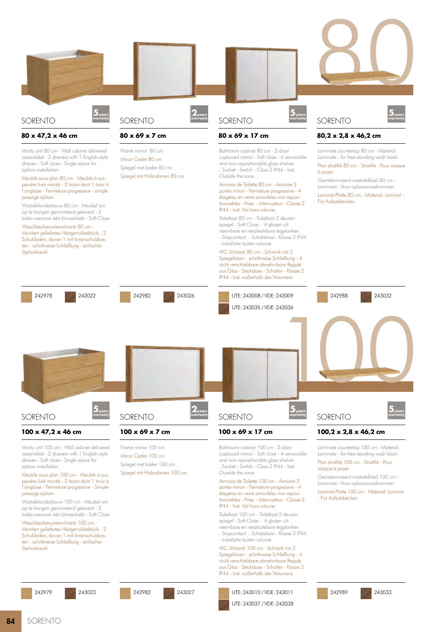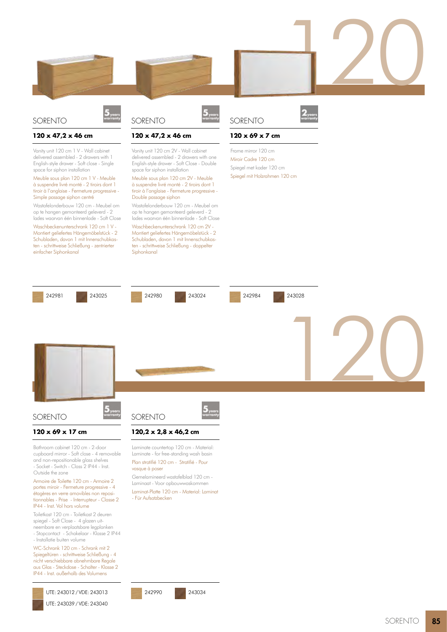

## SORENTO

#### **120 x 47,2 x 46 cm**

Vanity unit 120 cm 1 V - Wall cabinet delivered assembled - 2 drawers with 1 English-style drawer - Soft close - Single space for siphon installation

#### Meuble sous plan 120 cm 1 V - Meuble à suspendre livré monté - 2 tiroirs dont 1 tiroir à l'anglaise - Fermeture progressive - Simple passage siphon centré

Wastafelonderbouw 120 cm - Meubel om op te hangen gemonteerd geleverd - 2 lades waarvan één binnenlade - Soft Close

Waschbeckenunterschrank 120 cm 1 V - Montiert geliefertes Hängemöbelstück - 2 Schubladen, davon 1 mit Innenschubkasten - schrittweise Schließung - zentrierter einfacher Siphonkanal

# SORENTO

#### **120 x 47,2 x 46 cm**

Vanity unit 120 cm 2V - Wall cabinet delivered assembled - 2 drawers with one English-style drawer - Soft Close - Double space for siphon installation

#### Meuble sous plan 120 cm 2V - Meuble à suspendre livré monté - 2 tiroirs dont 1 tiroir à l'anglaise - Fermeture progressive - Double passage siphon

Wastafelonderbouw 120 cm - Meubel om op te hangen gemonteerd geleverd - 2 lades waarvan één binnenlade - Soft Close

Waschbeckenunterschrank 120 cm 2V - Montiert geliefertes Hängemöbelstück - 2 Schubladen, davon 1 mit Innenschubkasten - schrittweise Schließung - doppelter Siphonkanal





120

## **120 x 69 x 7 cm**

Frame mirror 120 cm Miroir Cadre 120 cm Spiegel met kader 120 cm Spiegel mit Holzrahmen 120 cm



WC-Schrank 120 cm - Schrank mit 2 Spiegeltüren - schrittweise Schließung - 4 nicht verschiebbare abnehmbare Regale aus Glas - Steckdose - Schalter - Klasse 2 IP44 - Inst. außerhalb des Volumens

UTE: 243012 / VDE: 243013 UTE: 243039 / VDE: 243040 242990 243034